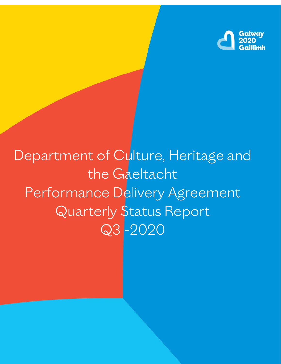

# Department of Culture, Heritage and the Gaeltacht Performance Delivery Agreement Quarterly Status Report Q3 -2020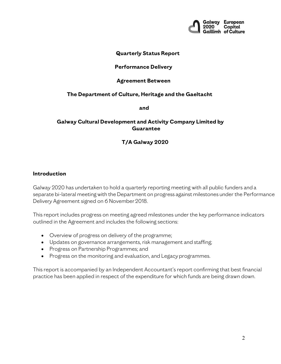

#### **Quarterly Status Report**

#### **Performance Delivery**

#### **Agreement Between**

## **The Department of Culture, Heritage and the Gaeltacht**

**and**

#### **Galway Cultural Development and Activity Company Limited by Guarantee**

# **T/A Galway 2020**

#### **Introduction**

Galway 2020 has undertaken to hold a quarterly reporting meeting with all public funders and a separate bi-lateral meeting with the Department on progress against milestones under the Performance Delivery Agreement signed on 6 November 2018.

This report includes progress on meeting agreed milestones under the key performance indicators outlined in the Agreement and includes the following sections:

- Overview of progress on delivery of the programme;
- Updates on governance arrangements, risk management and staffing;
- Progress on Partnership Programmes; and
- Progress on the monitoring and evaluation, and Legacy programmes.

This report is accompanied by an Independent Accountant's report confirming that best financial practice has been applied in respect of the expenditure for which funds are being drawn down.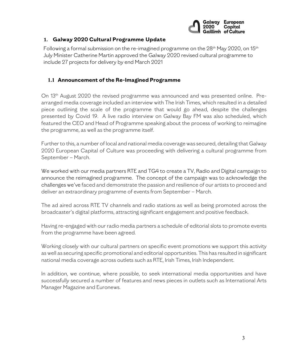

## **1. Galway 2020 Cultural Programme Update**

Following a formal submission on the re-imagined programme on the  $28<sup>th</sup>$  May 2020, on 15<sup>th</sup> July Minister Catherine Martin approved the Galway 2020 revised cultural programme to include 27 projects for delivery by end March 2021

#### **1.1 Announcement of the Re-Imagined Programme**

On 13th August 2020 the revised programme was announced and was presented online. Prearranged media coverage included an interview with The Irish Times, which resulted in a detailed piece outlining the scale of the programme that would go ahead, despite the challenges presented by Covid 19. A live radio interview on Galway Bay FM was also scheduled, which featured the CEO and Head of Programme speaking about the process of working to reimagine the programme, as well as the programme itself.

Further to this, a number of local and national media coverage was secured, detailing that Galway 2020 European Capital of Culture was proceeding with delivering a cultural programme from September – March.

We worked with our media partners RTE and TG4 to create a TV, Radio and Digital campaign to announce the reimagined programme. The concept of the campaign was to acknowledge the challenges we've faced and demonstrate the passion and resilience of our artists to proceed and deliver an extraordinary programme of events from September – March.

The ad aired across RTE TV channels and radio stations as well as being promoted across the broadcaster's digital platforms, attracting significant engagement and positive feedback.

Having re-engaged with our radio media partners a schedule of editorial slots to promote events from the programme have been agreed.

Working closely with our cultural partners on specific event promotions we support this activity as well as securing specific promotional and editorial opportunities. This has resulted in significant national media coverage across outlets such as RTE, Irish Times, Irish Independent.

In addition, we continue, where possible, to seek international media opportunities and have successfully secured a number of features and news pieces in outlets such as International Arts Manager Magazine and Euronews.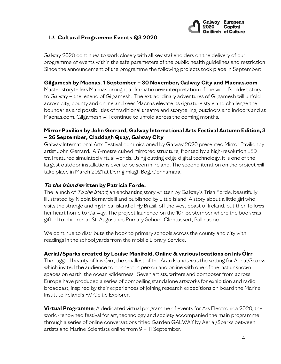

# **1.2 Cultural Programme Events Q3 2020**

Galway 2020 continues to work closely with all key stakeholders on the delivery of our programme of events within the safe parameters of the public health guidelines and restriction Since the announcement of the programme the following projects took place in September:

#### **Gilgamesh by Macnas, 1 September – 30 November, Galway City and Macnas.com**

Master storytellers Macnas brought a dramatic new interpretation of the world's oldest story to Galway – the legend of Gilgamesh. The extraordinary adventures of Gilgamesh will unfold across city, county and online and sees Macnas elevate its signature style and challenge the boundaries and possibilities of traditional theatre and storytelling, outdoors and indoors and at Macnas.com. Gilgamesh will continue to unfold across the coming months.

## **Mirror Pavilion by John Gerrard, Galway International Arts Festival Autumn Edition, 3 – 26 September, Claddagh Quay, Galway City**

Galway International Arts Festival commissioned by Galway 2020 presented Mirror Pavilionby artist John Gerrard. A 7-metre cubed mirrored structure, fronted by a high-resolution LED wall featured simulated virtual worlds. Using cutting edge digital technology, it is one of the largest outdoor installations ever to be seen in Ireland. The second iteration on the project will take place in March 2021 at Derrigimlagh Bog, Connamara.

#### **To the Island written by Patricia Forde.**

The launch of To the Island, an enchanting story written by Galway's Trish Forde, beautifully illustrated by Nicola Bernardelli and published by Little Island. A story about a little girl who visits the strange and mythical island of Hy Brasil, off the west coast of Ireland, but then follows her heart home to Galway. The project launched on the 10<sup>th</sup> September where the book was gifted to children at St. Augustines Primary School, Clontuskert, Ballinasloe.

We continue to distribute the book to primary schools across the county and city with readings in the school yards from the mobile Library Service.

#### **Aerial/Sparks created by Louise Manifold, Online & various locations on Inis Óirr**

The rugged beauty of Inis Óirr, the smallest of the Aran Islands was the setting for Aerial/Sparks which invited the audience to connect in person and online with one of the last unknown spaces on earth, the ocean wilderness. Seven artists, writers and composer from across Europe have produced a series of compelling standalone artworks for exhibition and radio broadcast, inspired by their experiences of joining research expeditions on board the Marine Institute Ireland's RV Celtic Explorer.

**Virtual Programme**: A dedicated virtual programme of events for Ars Electronica 2020, the world-renowned festival for art, technology and society accompanied the main programme through a series of online conversations titled Garden GALWAY by Aerial/Sparks between artists and Marine Scientists online from 9 – 11 September.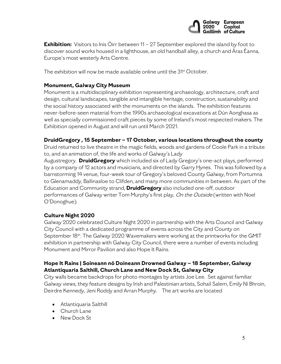

**Exhibition:** Visitors to Inis Oirr between 11 – 27 September explored the island by foot to discover sound works housed in a lighthouse, an old handball alley, a church and Áras Éanna, Europe's most westerly Arts Centre.

The exhibition will now be made available online until the 31<sup>st</sup> October.

#### **Monument, Galway City Museum**

Monument is a multidisciplinary exhibition representing archaeology, architecture, craft and design, cultural landscapes, tangible and intangible heritage, construction, sustainability and the social history associated with the monuments on the islands. The exhibition features never-before-seen material from the 1990s archaeological excavations at Dún Aonghasa as well as specially commissioned craft pieces by some of Ireland's most respected makers. The Exhibition opened in August and will run until March 2021.

## **DruidGregory , 15 September – 17 October, various locations throughout the county**

Druid returned to live theatre in the magic fields, woods and gardens of Coole Park in a tribute to, and an animation of, the life and works of Galway's Lady

Augustregory. **DruidGregory** which included six of Lady Gregory's one-act plays, performed by a company of 12 actors and musicians, and directed by Garry Hynes. This was followed by a barnstorming 14 venue, four-week tour of Gregory's beloved County Galway, from Portumna to Glenamaddy, Ballinasloe to Clifden, and many more communities in between. As part of the Education and Community strand, **DruidGregory** also included one-off, outdoor performances of Galway writer Tom Murphy's first play, On the Outside (written with Noel O'Donoghue).

# **Culture Night 2020**

Galway 2020 celebrated Culture Night 2020 in partnership with the Arts Council and Galway City Council with a dedicated programme of events across the City and County on September 18th. The Galway 2020 Wavemakers were working at the printworks for the GMIT exhibition in partnership with Galway City Council, there were a number of events including Monument and Mirror Pavilion and also Hope It Rains.

# **Hope It Rains | Soineann nó Doineann Drowned Galway – 18 September, Galway Atlantiquaria Salthill, Church Lane and New Dock St, Galway City**

City walls became backdrops for photo montages by artists Joe Lee. Set against familiar Galway views, they feature designs by Irish and Palestinian artists, Sohail Salem, Emily Ní Bhroin, Deirdre Kennedy, Jeni Roddy and Arran Murphy. The art works are located

- Atlantiquaria Salthill
- Church Lane
- New Dock St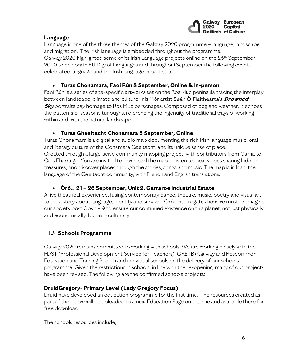

# **Language**

Language is one of the three themes of the Galway 2020 programme – language, landscape and migration. The Irish language is embedded throughout the programme. Galway 2020 highlighted some of its Irish Language projects online on the 26<sup>th</sup> September 2020 to celebrate EU Day of Languages and throughoutSeptember the following events celebrated language and the Irish language in particular:

# • **Turas Chonamara, Faoi Rún 8 September, Online & In-person**

Faoi Rún is a series of site-specific artworks set on the Ros Muc peninsula tracing the interplay between landscape, climate and culture. Inis Mór artist Seán Ó Flaithearta's **Drowned Sky** portraits pay homage to Ros Muc personages. Composed of bog and weather, it echoes the patterns of seasonal turloughs, referencing the ingenuity of traditional ways of working within and with the natural landscape.

# • **Turas Ghaeltacht Chonamara 8 September, Online**

Turas Chonamara is a digital and audio map documenting the rich Irish language music, oral and literary culture of the Conamara Gaeltacht, and its unique sense of place. Created through a large-scale community mapping project, with contributors from Carna to Cois Fharraige. You are invited to download the map – listen to local voices sharing hidden treasures, and discover places through the stories, songs and music. The map is in Irish, the language of the Gaeltacht community, with French and English translations.

# • **Óró.. 21 – 26 September, Unit 2, Carraroe Industrial Estate**

A live theatrical experience, fusing contemporary dance, theatre, music, poetry and visual art to tell a story about language, identity and survival. Óró.. interrogates how we must re-imagine our society post Covid-19 to ensure our continued existence on this planet, not just physically and economically, but also culturally.

# **1.3 Schools Programme**

Galway 2020 remains committed to working with schools. We are working closely with the PDST (Professional Development Service for Teachers), GRETB (Galway and Roscommon Education and Training Board) and individual schools on the delivery of our schools programme. Given the restrictions in schools, in line with the re-opening, many of our projects have been revised. The following are the confirmed schools projects;

# **DruidGregory- Primary Level (Lady Gregory Focus)**

Druid have developed an education programme for the first time. The resources created as part of the below will be uploaded to a new Education Page on druid.ie and available there for free download.

The schools resources include;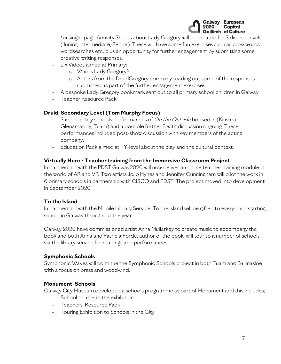

- 6 x single-page Activity Sheets about Lady Gregory will be created for 3 distinct levels (Junior, Intermediate, Senior). These will have some fun exercises such as crosswords, wordsearches etc. plus an opportunity for further engagement by submitting some creative writing responses.
- 2 x Videos aimed at Primary:
	- o Who is Lady Gregory?
	- o Actors from the DruidGregory company reading out some of the responses submitted as part of the further engagement exercises
- A bespoke Lady Gregory bookmark sent out to all primary school children in Galway
- Teacher Resource Pack

#### **Druid-Secondary Level (Tom Murphy Focus)**

- 3 x secondary schools performances of On the Outside booked in (Kinvara, Glenamaddy, Tuam) and a possible further 3 with discussion ongoing. These performances included post-show discussion with key members of the acting company.
- Education Pack aimed at TY-level about the play and the cultural context.

#### **Virtually Here - Teacher training from the Immersive Classroom Project**

In partnership with the PDST Galway2020 will now deliver an online teacher training module in the world of AR and VR. Two artists JoJo Hynes and Jennifer Cunningham will pilot the work in 6 primary schools in partnership with CISCO and PDST. The project moved into development in September 2020.

#### **To the Island**

In partnership with the Mobile Library Service, To the Island will be gifted to every child starting school in Galway throughout the year.

Galway 2020 have commissioned artist Anna Mullarkey to create music to accompany the book and both Anna and Patricia Forde, author of the book, will tour to a number of schools via the library service for readings and performances.

#### **Symphonic Schools**

Symphonic Waves will continue the Symphonic Schools project in both Tuam and Ballinasloe with a focus on brass and woodwind.

#### **Monument-Schools**

Galway City Museum developed a schools programme as part of Monument and this includes;

- School to attend the exhibition
- Teachers' Resource Pack
- Touring Exhibition to Schools in the City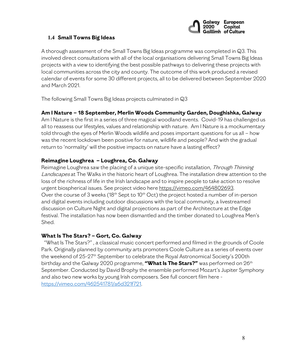

## **1.4 Small Towns Big Ideas**

A thorough assessment of the Small Towns Big Ideas programme was completed in Q3. This involved direct consultations with all of the local organisations delivering Small Towns Big Ideas projects with a view to identifying the best possible pathways to delivering these projects with local communities across the city and county. The outcome of this work produced a revised calendar of events for some 30 different projects, all to be delivered between September 2020 and March 2021.

The following Small Towns Big Ideas projects culminated in Q3

#### **Am I Nature – 18 September, Merlin Woods Community Garden, Doughishka, Galway**

Am I Nature is the first in a series of three magical woodland events. Covid-19 has challenged us all to reassess our lifestyles, values and relationship with nature. Am I Nature is a mockumentary told through the eyes of Merlin Woods wildlife and poses important questions for us all – how was the recent lockdown been positive for nature, wildlife and people? And with the gradual return to 'normality' will the positive impacts on nature have a lasting effect?

#### **Reimagine Loughrea – Loughrea, Co. Galway**

Reimagine Loughrea saw the placing of a unique site-specific installation, Through Thinning Landscapes at The Walks in the historic heart of Loughrea. The installation drew attention to the loss of the richness of life in the Irish landscape and to inspire people to take action to resolve urgent biospherical issues. See project video here [https://vimeo.com/464802693.](https://vimeo.com/464802693) Over the course of 3 weeks ( $18<sup>th</sup>$  Sept to  $10<sup>th</sup>$  Oct) the project hosted a number of in-person and digital events including outdoor discussions with the local community, a livestreamed discussion on Culture Night and digital projections as part of the Architecture at the Edge festival. The installation has now been dismantled and the timber donated to Loughrea Men's Shed.

#### **What Is The Stars? – Gort, Co. Galway**

"What Is The Stars?" , a classical music concert performed and filmed in the grounds of Coole Park. Originally planned by community arts promoters Coole Culture as a series of events over the weekend of 25-27th September to celebrate the Royal Astronomical Society's 200th birthday and the Galway 2020 programme, **"What Is The Stars?"** was performed on 26th September. Conducted by David Brophy the ensemble performed Mozart's Jupiter Symphony and also two new works by young Irish composers. See full concert film here [https://vimeo.com/462541781/a6d321f721.](https://vimeo.com/462541781/a6d321f721)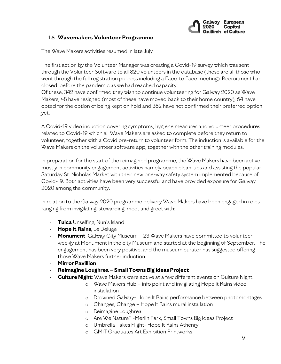

## **1.5 Wavemakers Volunteer Programme**

The Wave Makers activities resumed in late July

The first action by the Volunteer Manager was creating a Covid-19 survey which was sent through the Volunteer Software to all 820 volunteers in the database (these are all those who went through the full registration process including a Face-to Face meeting). Recruitment had closed before the pandemic as we had reached capacity.

Of these, 342 have confirmed they wish to continue volunteering for Galway 2020 as Wave Makers, 48 have resigned (most of these have moved back to their home country), 64 have opted for the option of being kept on hold and 362 have not confirmed their preferred option yet.

A Covid-19 video induction covering symptoms, hygiene measures and volunteer procedures related to Covid-19 which all Wave Makers are asked to complete before they return to volunteer, together with a Covid pre-return to volunteer form. The induction is available for the Wave Makers on the volunteer software app, together with the other training modules.

In preparation for the start of the reimagined programme, the Wave Makers have been active mostly in community engagement activities namely beach clean-ups and assisting the popular Saturday St. Nicholas Market with their new one-way safety system implemented because of Covid-19. Both activities have been very successful and have provided exposure for Galway 2020 among the community.

In relation to the Galway 2020 programme delivery Wave Makers have been engaged in roles ranging from invigilating, stewarding, meet and greet with:

- **Tulca** Unselfing, Nun's Island
- **Hope It Rains**, Le Deluge
- **Monument**, Galway City Museum 23 Wave Makers have committed to volunteer weekly at Monument in the city Museum and started at the beginning of September. The engagement has been very positive, and the museum curator has suggested offering those Wave Makers further induction.
- **Mirror Pavillion**
- **Reimagine Loughrea – Small Towns Big Ideas Project**
- **Culture Night**: Wave Makers were active at a few different events on Culture Night:
	- o Wave Makers Hub info point and invigilating Hope it Rains video installation
	- o Drowned Galway- Hope It Rains performance between photomontages
	- o Changes, Change Hope It Rains mural installation
	- o Reimagine Loughrea
	- o Are We Nature? -Merlin Park, Small Towns Big Ideas Project
	- o Umbrella Takes Flight- Hope It Rains Athenry
	- o GMIT Graduates Art Exhibition Printworks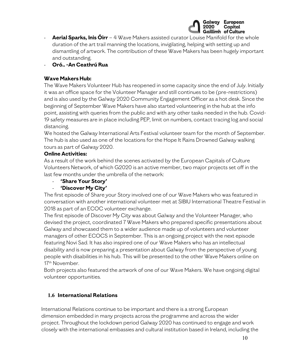

- **Aerial Sparks, Inis Öirr** 4 Wave Makers assisted curator Louise Manifold for the whole duration of the art trail manning the locations, invigilating, helping with setting up and dismantling of artwork. The contribution of these Wave Makers has been hugely important and outstanding.
- **Oró.. -An Ceathrú Rua**

## **Wave Makers Hub:**

The Wave Makers Volunteer Hub has reopened in some capacity since the end of July. Initially it was an office space for the Volunteer Manager and still continues to be (pre-restrictions) and is also used by the Galway 2020 Community Engagement Officer as a hot desk. Since the beginning of September Wave Makers have also started volunteering in the hub at the info point, assisting with queries from the public and with any other tasks needed in the hub. Covid-19 safety measures are in place including PEP, limit on numbers, contact tracing log and social distancing.

We hosted the Galway International Arts Festival volunteer team for the month of September. The hub is also used as one of the locations for the Hope It Rains Drowned Galway walking tours as part of Galway 2020.

## **Online Activities:**

As a result of the work behind the scenes activated by the European Capitals of Culture Volunteers Network, of which G2020 is an active member, two major projects set off in the last few months under the umbrella of the network:

- **'Share Your Story'**

# - **'Discover My City'**

The first episode of Share your Story involved one of our Wave Makers who was featured in conversation with another international volunteer met at SIBIU International Theatre Festival in 2018 as part of an ECOC volunteer exchange.

The first episode of Discover My City was about Galway and the Volunteer Manager, who devised the project, coordinated 7 Wave Makers who prepared specific presentations about Galway and showcased them to a wider audience made up of volunteers and volunteer managers of other ECOCS in September. This is an ongoing project with the next episode featuring Novi Sad. It has also inspired one of our Wave Makers who has an intellectual disability and is now preparing a presentation about Galway from the perspective of young people with disabilities in his hub. This will be presented to the other Wave Makers online on 17th November.

Both projects also featured the artwork of one of our Wave Makers. We have ongoing digital volunteer opportunities.

# **1.6 International Relations**

International Relations continue to be important and there is a strong European dimension embedded in many projects across the programme and across the wider project. Throughout the lockdown period Galway 2020 has continued to engage and work closely with the international embassies and cultural institution based in Ireland, including the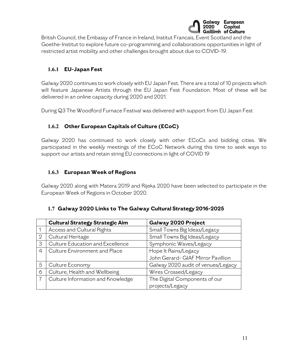

British Council, the Embassy of France in Ireland, Institut Francais, Event Scotland and the Goethe-Institut to explore future co-programming and collaborations opportunities in light of restricted artist mobility and other challenges brought about due to COVID-19.

# **1.6.1 EU-Japan Fest**

Galway 2020 continues to work closely with EU Japan Fest. There are a total of 10 projects which will feature Japanese Artists through the EU Japan Fest Foundation. Most of these will be delivered in an online capacity during 2020 and 2021.

During Q3 The Woodford Furnace Festival was delivered with support from EU Japan Fest

# **1.6.2 Other European Capitals of Culture (ECoC)**

Galway 2020 has continued to work closely with other ECoCs and bidding cities. We participated in the weekly meetings of the ECoC Network during this time to seek ways to support our artists and retain string EU connections in light of COVID 19

## **1.6.3 European Week of Regions**

Galway 2020 along with Matera 2019 and Rijeka 2020 have been selected to participate in the European Week of Regions in October 2020.

#### **1.7 Galway 2020 Links to The Galway Cultural Strategy 2016-2025**

|                | <b>Cultural Strategy Strategic Aim</b> | Galway 2020 Project                |
|----------------|----------------------------------------|------------------------------------|
|                | Access and Cultural Rights             | Small Towns Big Ideas/Legacy       |
| $\overline{2}$ | Cultural Heritage                      | Small Towns Big Ideas/Legacy       |
| 3              | Culture Education and Excellence       | Symphonic Waves/Legacy             |
| $\overline{4}$ | Culture Environment and Place          | Hope It Rains/Legacy               |
|                |                                        | John Gerard- GIAF Mirror Pavillion |
| 5              | Culture Economy                        | Galway 2020 audit of venues/Legacy |
| 6              | Culture, Health and Wellbeing          | Wires Crossed/Legacy               |
|                | Culture Information and Knowledge      | The Digital Components of our      |
|                |                                        | projects/Legacy                    |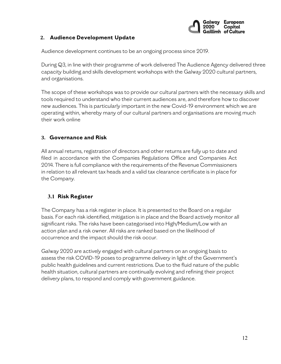

### **2. Audience Development Update**

Audience development continues to be an ongoing process since 2019.

During Q3, in line with their programme of work delivered The Audience Agency delivered three capacity building and skills development workshops with the Galway 2020 cultural partners, and organisations.

The scope of these workshops was to provide our cultural partners with the necessary skills and tools required to understand who their current audiences are, and therefore how to discover new audiences. This is particularly important in the new Covid-19 environment which we are operating within, whereby many of our cultural partners and organisations are moving much their work online

## **3. Governance and Risk**

All annual returns, registration of directors and other returns are fully up to date and filed in accordance with the Companies Regulations Office and Companies Act 2014. There is full compliance with the requirements of the Revenue Commissioners in relation to all relevant tax heads and a valid tax clearance certificate is in place for the Company.

# **3.1 Risk Register**

The Company has a risk register in place. It is presented to the Board on a regular basis. For each risk identified, mitigation is in place and the Board actively monitor all significant risks. The risks have been categorised into High/Medium/Low with an action plan and a risk owner. All risks are ranked based on the likelihood of occurrence and the impact should the risk occur.

Galway 2020 are actively engaged with cultural partners on an ongoing basis to assess the risk COVID-19 poses to programme delivery in light of the Government's public health guidelines and current restrictions. Due to the fluid nature of the public health situation, cultural partners are continually evolving and refining their project delivery plans, to respond and comply with government guidance.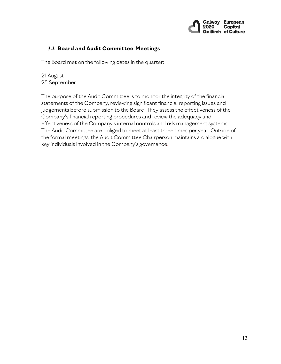

# **3.2 Board and Audit Committee Meetings**

The Board met on the following dates in the quarter:

21 August 25 September

The purpose of the Audit Committee is to monitor the integrity of the financial statements of the Company, reviewing significant financial reporting issues and judgements before submission to the Board. They assess the effectiveness of the Company's financial reporting procedures and review the adequacy and effectiveness of the Company's internal controls and risk management systems. The Audit Committee are obliged to meet at least three times per year. Outside of the formal meetings, the Audit Committee Chairperson maintains a dialogue with key individuals involved in the Company's governance.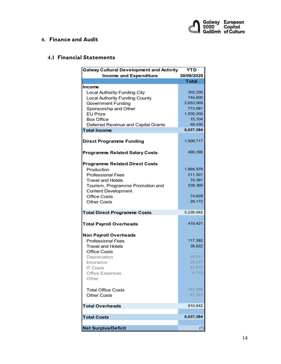

### **4. Finance and Audit**

# **4.1 Financial Statements**

| <b>Galway Cultural Development and Activity</b><br>YTD     |                      |  |
|------------------------------------------------------------|----------------------|--|
| <b>Income and Expenditure</b>                              | 30/09/2020           |  |
|                                                            | <b>Total</b>         |  |
| Income                                                     |                      |  |
| <b>Local Authority Funding City</b>                        | 302,200              |  |
| <b>Local Authority Funding County</b>                      | 744,600              |  |
| <b>Government Funding</b>                                  | 2,653,069            |  |
| Sponsorship and Other<br><b>EU Prize</b>                   | 773,981<br>1,500,200 |  |
| <b>Box Office</b>                                          | 15,104               |  |
|                                                            | 48,430               |  |
| Deferred Revenue and Capital Grants<br><b>Total Income</b> | 6,037,584            |  |
|                                                            |                      |  |
| <b>Direct Programme Funding</b>                            | 1,908,717            |  |
|                                                            |                      |  |
| <b>Programme Related Salary Costs</b>                      | 490,396              |  |
| <b>Programme Related Direct Costs</b>                      |                      |  |
| Production                                                 | 1,894,979            |  |
| <b>Professional Fees</b>                                   | 211,301              |  |
| <b>Travel and Hotels</b>                                   | 79,381               |  |
| Tourism, Programme Promotion and                           | 538,369              |  |
| <b>Content Development</b>                                 |                      |  |
| <b>Office Costs</b>                                        | 74,628               |  |
| <b>Other Costs</b>                                         | 29,172               |  |
| <b>Total Direct Programme Costs</b>                        | 5,226,942            |  |
| <b>Total Payroll Overheads</b>                             | 419,421              |  |
| <b>Non Payroll Overheads</b>                               |                      |  |
| <b>Professional Fees</b>                                   | 117,382              |  |
| <b>Travel and Hotels</b>                                   | 38,622               |  |
| <b>Office Costs</b>                                        |                      |  |
| Depreciation                                               | 20,811               |  |
| Insurance                                                  | 24,037               |  |
| <b>IT Costs</b>                                            | 41,870               |  |
| <b>Office Expenses</b>                                     | 6,715                |  |
| Other                                                      |                      |  |
| <b>Total Office Costs</b>                                  | 187,996              |  |
| <b>Other Costs</b>                                         | 47,221               |  |
| <b>Total Overheads</b>                                     | 810,642              |  |
|                                                            |                      |  |
| <b>Total Costs</b>                                         | 6,037,584            |  |
| <b>Net Surplus/Deficit</b>                                 | (1)                  |  |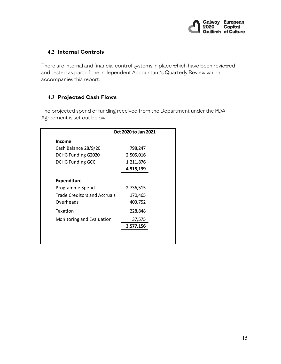

# **4.2 Internal Controls**

There are internal and financial control systems in place which have been reviewed and tested as part of the Independent Accountant's Quarterly Review which accompanies this report.

# **4.3 Projected Cash Flows**

The projected spend of funding received from the Department under the PDA Agreement is set out below.

| Oct 2020 to Jan 2021                |           |
|-------------------------------------|-----------|
| <b>Income</b>                       |           |
| Cash Balance 28/9/20                | 798,247   |
| DCHG Funding G2020                  | 2,505,016 |
| <b>DCHG Funding GCC</b>             | 1,211,876 |
|                                     | 4,515,139 |
| <b>Expenditure</b>                  |           |
| Programme Spend                     | 2,736,515 |
| <b>Trade Creditors and Accruals</b> | 170,465   |
| Overheads                           | 403,752   |
| Taxation                            | 228,848   |
| Monitoring and Evaluation           | 37,575    |
|                                     | 3,577,156 |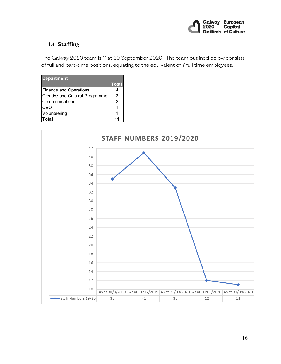

# **4.4 Staffing**

The Galway 2020 team is 11 at 30 September 2020. The team outlined below consists of full and part-time positions, equating to the equivalent of 7 full time employees.

| <b>Department</b>               |              |
|---------------------------------|--------------|
|                                 | <b>Total</b> |
| <b>Finance and Operations</b>   |              |
| Creative and Cultural Programme | З            |
| Communications                  | 2            |
| <b>CEO</b>                      |              |
| Volunteering                    |              |
| <b>Total</b>                    |              |

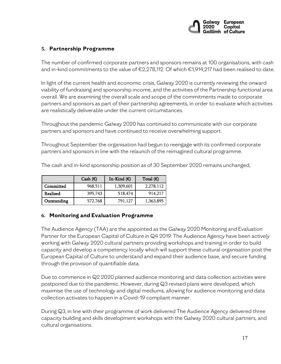

# **5. Partnership Programme**

The number of confirmed corporate partners and sponsors remains at 100 organisations, with cash and in-kind commitments to the value of €2,278,112. Of which €1,914,217 had been realised to date.

In light of the current health and economic crisis, Galway 2020 is currently reviewing the onward viability of fundraising and sponsorship income, and the activities of the Partnership functional area overall. We are examining the overall scale and scope of the commitments made to corporate partners and sponsors as part of their partnership agreements, in order to evaluate which activities are realistically deliverable under the current circumstances.

Throughout the pandemic Galway 2020 has continued to communicate with our corporate partners and sponsors and have continued to receive overwhelming support.

Throughout September the organisation had begun to reengage with its confirmed corporate partners and sponsors in line with the relaunch of the reimagined cultural programme.

|             | Cash $(\epsilon)$ | In-Kind $(E)$ | Total $(\epsilon)$ |
|-------------|-------------------|---------------|--------------------|
| Committed   | 968,511           | 1,309,601     | 2,278,112          |
| Realised    | 395,743           | 518,474       | 914,217            |
| Outstanding | 572,768           | 791.127       | 1,363,895          |

The cash and in-kind sponsorship position as of 30 September 2020 remains unchanged,

#### **6. Monitoring and Evaluation Programme**

The Audience Agency (TAA) are the appointed as the Galway 2020 Monitoring and Evaluation Partner for the European Capital of Culture in Q4 2019. The Audience Agency have been actively working with Galway 2020 cultural partners providing workshops and training in order to build capacity and develop a competency locally which will support these cultural organisation post the European Capital of Culture to understand and expand their audience base, and secure funding through the provision of quantifiable data.

Due to commence in Q2 2020 planned audience monitoring and data collection activities were postponed due to the pandemic. However, during Q3 revised plans were developed, which maximise the use of technology and digital mediums, allowing for audience monitoring and data collection activates to happen in a Covid-19 compliant manner.

During Q3, in line with their programme of work delivered The Audience Agency delivered three capacity building and skills development workshops with the Galway 2020 cultural partners, and cultural organisations.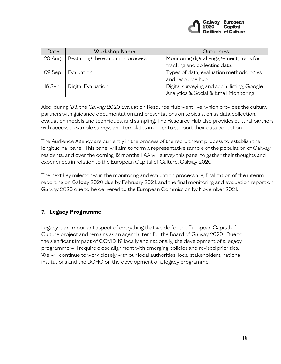

| Date     | <b>Workshop Name</b>              | Outcomes                                     |
|----------|-----------------------------------|----------------------------------------------|
| 20 Aug   | Restarting the evaluation process | Monitoring digital engagement, tools for     |
|          |                                   | tracking and collecting data.                |
| 09 Sep   | Evaluation                        | Types of data, evaluation methodologies,     |
|          |                                   | and resource hub.                            |
| $16$ Sep | Digital Evaluation                | Digital surveying and social listing, Google |
|          |                                   | Analytics & Social & Email Monitoring.       |

Also, during Q3, the Galway 2020 Evaluation Resource Hub went live, which provides the cultural partners with guidance documentation and presentations on topics such as data collection, evaluation models and techniques, and sampling. The Resource Hub also provides cultural partners with access to sample surveys and templates in order to support their data collection.

The Audience Agency are currently in the process of the recruitment process to establish the longitudinal panel. This panel will aim to form a representative sample of the population of Galway residents, and over the coming 12 months TAA will survey this panel to gather their thoughts and experiences in relation to the European Capital of Culture, Galway 2020.

The next key milestones in the monitoring and evaluation process are; finalization of the interim reporting on Galway 2020 due by February 2021, and the final monitoring and evaluation report on Galway 2020 due to be delivered to the European Commission by November 2021.

# **7. Legacy Programme**

Legacy is an important aspect of everything that we do for the European Capital of Culture project and remains as an agenda item for the Board of Galway 2020. Due to the significant impact of COVID 19 locally and nationally, the development of a legacy programme will require close alignment with emerging policies and revised priorities. We will continue to work closely with our local authorities, local stakeholders, national institutions and the DCHG on the development of a legacy programme.